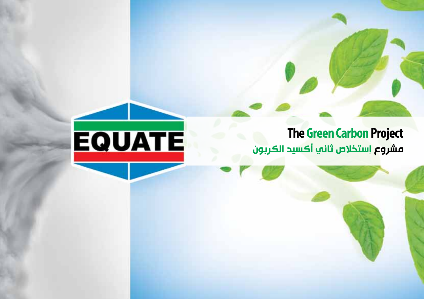**EQUATE**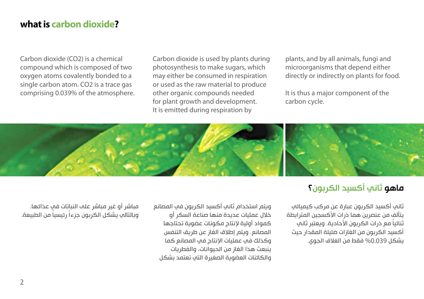#### **what is carbon dioxide?**

Carbon dioxide (CO2) is a chemical compound which is composed of two oxygen atoms covalently bonded to a single carbon atom. CO2 is a trace gas comprising 0.039% of the atmosphere.

Carbon dioxide is used by plants during photosynthesis to make sugars, which may either be consumed in respiration or used as the raw material to produce other organic compounds needed for plant growth and development. It is emitted during respiration by

plants, and by all animals, fungi and microorganisms that depend either directly or indirectly on plants for food.

It is thus a major component of the carbon cycle.



## ماهو ثاني أكسيد الكربون؟

ثاني أكسيد الكربون عبارة عن مركب كيميائي يتألف من عنصرين هما ذرات الأكسجين المترابطة ثنائياً مع ذرات الكربون الأحادية. ويعتبر ثاني أكسيد الكربون من الغازات ضئيلة المقدار حيث يشكل %0.039 فقط من الغالف الجوي.

ويتم استخدام ثاني أكسيد الكربون في المصانع خالل عمليات عديدة منها صناعة السكر أو كمواد أولية إلنتاج مكونات عضوية تحتاجها المصانع. ويتم إطالق الغاز عن طريق التنفس وكذلك في عمليات اإلنتاج في المصانع كما ينبعث هذا الغاز من الحيوانات، والفطريات والكائنات العضوية الصغيرة التي تعتمد بشكل

مباشر أو غير مباشر على النباتات في عذائها. ً وبالتالي يشكل الكربون جزءا ً رئيسيا من الطبيعة.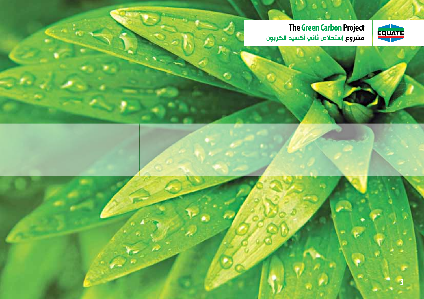

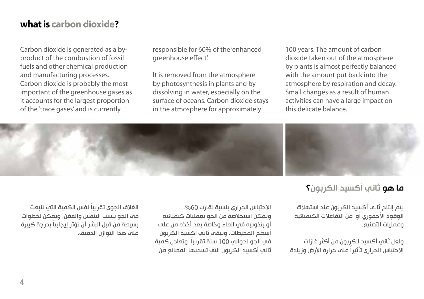#### **what is carbon dioxide?**

Carbon dioxide is generated as a byproduct of the combustion of fossil fuels and other chemical production and manufacturing processes. Carbon dioxide is probably the most important of the greenhouse gases as it accounts for the largest proportion of the 'trace gases' and is currently

responsible for 60% of the 'enhanced greenhouse effect'.

It is removed from the atmosphere by photosynthesis in plants and by dissolving in water, especially on the surface of oceans. Carbon dioxide stays in the atmosphere for approximately

100 years. The amount of carbon dioxide taken out of the atmosphere by plants is almost perfectly balanced with the amount put back into the atmosphere by respiration and decay. Small changes as a result of human activities can have a large impact on this delicate balance.



# ما هو ثاني أكسيد الكربون؟

يتم إنتاج ثاني أكسيد الكربون عند استهالك الوقود الأحفوري أو من التفاعلات الكيميائية وعمليات التصنيع.

ولعل ثاني أكسيد الكربون من أكثر غازات ً االحتباس الحراري تأثيرا على حرارة األرض وزيادة

االحتباس الحراري بنسبة تقارب .%60 ويمكن استخالصه من الجو بعمليات كيميائية أو بتذويبه في الماء وخاصة بعد أخذه من على أسطح المحيطات. ويبقى ثاني اكسيد الكربون في الجو لحوالي 100 ً سنة تقريبا. وتعادل كمية ثاني أكسيد الكربون التي تسحبها المصانع من

ً الغالف الجوي تقريبا نفس الكمية التي تنبعث في الجو بسبب التنفس والعفن. ويمكن لخطوات ً بسيطة من قبل البشر أن تؤثر إيجابيا بدرجة كبيرة على هذا التوازن الدقيق.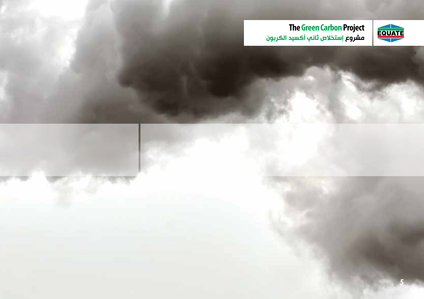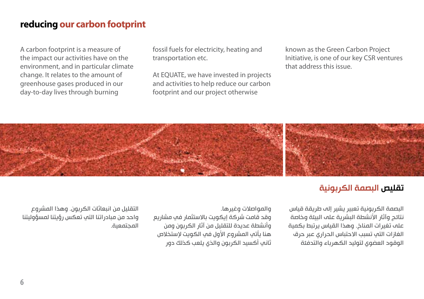#### **reducing our carbon footprint**

A carbon footprint is a measure of the impact our activities have on the environment, and in particular climate change. It relates to the amount of greenhouse gases produced in our day-to-day lives through burning

fossil fuels for electricity, heating and transportation etc.

At EQUATE, we have invested in projects and activities to help reduce our carbon footprint and our project otherwise

known as the Green Carbon Project Initiative, is one of our key CSR ventures that address this issue.



#### تقليص البصمة الكربونية

البصمة الكربونية تعبير يشير إلى طريقة قياس نتائج وآثار الأنشطة البشرية علم البيئة وخاصة على تغيرات المناخ. وهذا القياس يرتبط بكمية الغازات التي تسبب االحتباس الحراري عبر حرق الوقود العضوي لتوليد الكهرباء والتدفئة

#### والمواصالت وغيرها.

وقد قامت شركة إيكويت باالستثمار في مشاريع وأنشطة عديدة للتقليل من آثار الكربون ومن هنا ىأته المشروع الأول فه الكويت لاستخلاص ثاني أكسيد الكربون والذي يلعب كذلك دور

التقليل من انبعاثات الكربون. وهذا المشروع واحد من مبادراتنا التي تعكس رؤيتنا لمسؤوليتنا المجتمعية.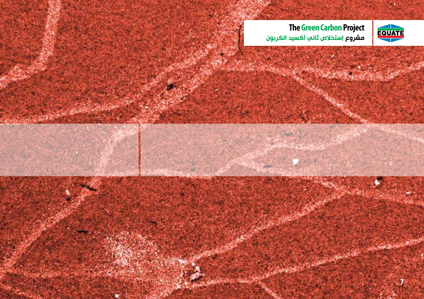

**7**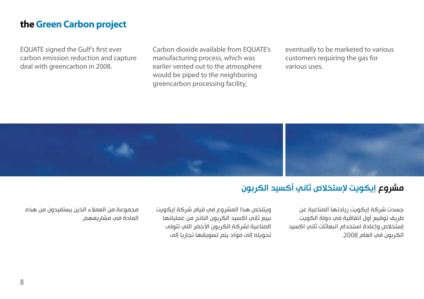#### **the Green Carbon project**

EQUATE signed the Gulf's first ever carbon emission reduction and capture deal with greencarbon in 2008.

Carbon dioxide available from EQUATE's manufacturing process, which was earlier vented out to the atmosphere would be piped to the neighboring greencarbon processing facility,

eventually to be marketed to various customers requiring the gas for various uses.



# مشروع إيكويت لإستخلاص ثاني أكسيد الكربون

جسدت شركة إيكويت ريادتها الصناعية عن طريق توقيع أول اتفاقية في دولة الكويت إستخالص وإعادة استخدام انبعاثات ثاني اكسيد الكربون في العام .2008

ويتلخص هذا المشروع في قيام شركة إيكويت ببيع ثاني اكسيد الكربون الناتج من عملياتها الصناعية لشركة الكربون الأخضر التب تتولب تحويله إلى مواد يتم تسويقها تجاريا إلى

مجموعة من العمالء الذين يستفيدون من هذه المادة في مشاريعهم.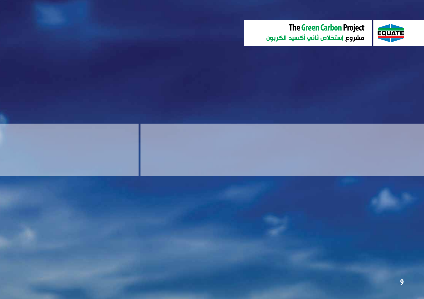

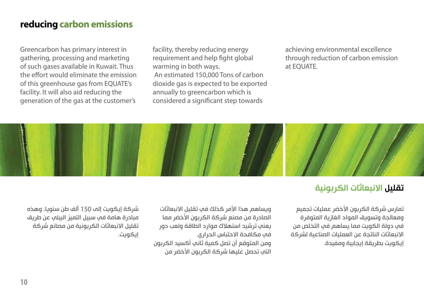#### **reducing carbon emissions**

Greencarbon has primary interest in gathering, processing and marketing of such gases available in Kuwait. Thus the effort would eliminate the emission of this greenhouse gas from EQUATE's facility. It will also aid reducing the generation of the gas at the customer's facility, thereby reducing energy requirement and help fight global warming in both ways. An estimated 150,000 Tons of carbon dioxide gas is expected to be exported annually to greencarbon which is considered a significant step towards

achieving environmental excellence through reduction of carbon emission at EQUATE.



#### تقليل االنبعاثات الكربونية

تمارس شركة الكربون الأخضر عمليات تجميع ومعالجة وتسويق المواد الغازية المتوفرة في دولة الكويت مما يساهم في التخلص من االنبعاثات الناتجة عن العمليات الصناعية لشركة إيكويت بطريقة إيجابية ومفيدة.

ويساهم هذا الأفر كذلك فف تقليل الانبعاثات الصادرة من مصنع شركة الكربون األخضر مما يعني ترشيد استهالك موارد الطاقة ولعب دور في مكافحة االحتباس الحراري. ومن المتوقع أن تصل كمية ثاني أكسيد الكربون التي تحصل عليها شركة الكربون الأخضر من

شركة إيكويت إلى 150 ألف طن سنويا، وهذه مبادرة هامة في سبيل التميز البيئي عن طريق تقليل االنبعاثات الكربونية من مصانع شركة إيكويت.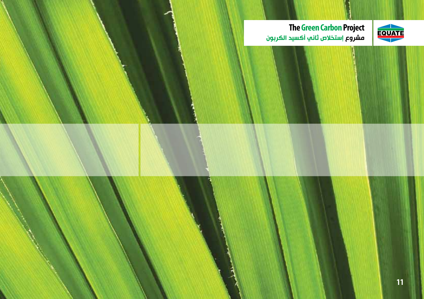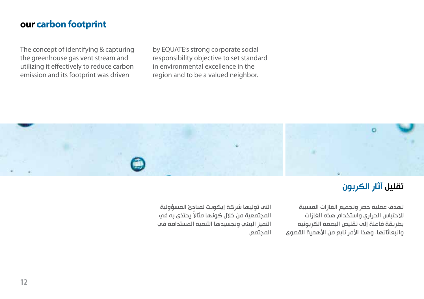#### **our carbon footprint**

The concept of identifying & capturing the greenhouse gas vent stream and utilizing it effectively to reduce carbon emission and its footprint was driven

by EQUATE's strong corporate social responsibility objective to set standard in environmental excellence in the region and to be a valued neighbor.



## تقليل آثار الكربون

تهدف عملية حصر وتجميع الغازات المسببة لالحتباس الحراري واستخدام هذه الغازات بطريقة فاعلة إلى تقليص البصمة الكربونية وانبعاثاتها، وهذا الأمر نابع من الأهمية القصوى

التي توليها شركة إيكويت لمبادئ المسؤولية ً المجتمعية من خالل كونها مثاال يحتذى به في التميز البيئي وتجسيدها التنمية المستدامة في المجتمع.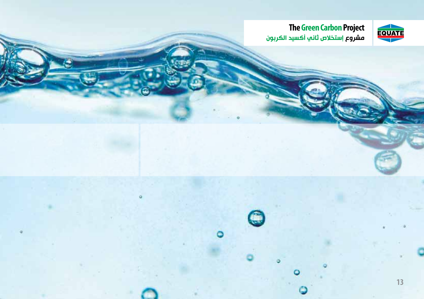$\alpha$ 

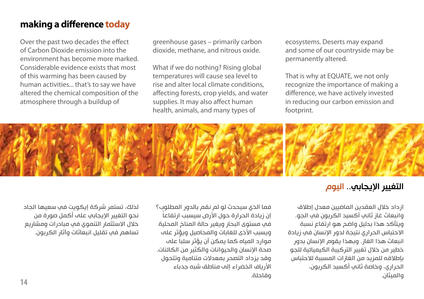#### **making a difference today**

Over the past two decades the effect of Carbon Dioxide emission into the environment has become more marked. Considerable evidence exists that most of this warming has been caused by human activities... that's to say we have altered the chemical composition of the atmosphere through a buildup of

greenhouse gases – primarily carbon dioxide, methane, and nitrous oxide.

What if we do nothing? Rising global temperatures will cause sea level to rise and alter local climate conditions, affecting forests, crop yields, and water supplies. It may also affect human health, animals, and many types of

ecosystems. Deserts may expand and some of our countryside may be permanently altered.

That is why at EQUATE, we not only recognize the importance of making a difference, we have actively invested in reducing our carbon emission and footprint.



#### التغيير الايجابي.. اليوم

ازداد خالل العقدين الماضيين معدل إطالق وانبعاث غاز ثاني أكسيد الكربون في الجو. ويتأكد هذا بدليل واضح هو ارتفاع نسبة الإحتباس الحراري نتيجة لدور الإنسان في زيادة انبعاث هذا الغاز. وبهذا يقوم اإلنسان بدور خطير من خالل تغيير التركيبة الكيميائية للجو بإطالقه للمزيد من الغازات المسببة لالحتباس الحراري، وخاصة ثاني أكسيد الكربون، والميثان.

فما الذي سيحدث لو لم نقم بالدور المطلوب؟ إن زيادة الحرارة حول الأرض سيسبب ارتفاعاً في مستوى البحار ويغير حالة المناخ المحلية ويسبب الأذى للغابات والمحاصيل ويؤثر على ً موارد المياه كما يمكن أن يؤثر سلبا على صحة اإلنسان والحيوانات والكثير من الكائنات. وقد يزداد التصحر بمعدالت متنامية وتتحول األرياف الخضراء إلى مناطق شبه جدباء وقاحلة.

لذلك، تستمر شركة إيكويت في سعيها الجاد نحو التغيير الإيجابي عله أكمل صورة من خلال الاستثمار التنموي في مبادرات ومشاريع تساهم في تقليل انبعاثات وآثار الكربون.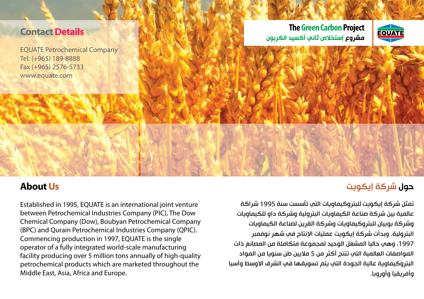

#### **About Us**

Established in 1995, EQUATE is an international joint venture between Petrochemical Industries Company (PIC), The Dow Chemical Company (Dow), Boubyan Petrochemical Company (BPC) and Qurain Petrochemical Industries Company (QPIC). Commencing production in 1997, EQUATE is the single operator of a fully integrated world-scale manufacturing facility producing over 5 million tons annually of high-quality petrochemical products which are marketed throughout the Middle East, Asia, Africa and Europe.

#### حول شركة إيكويت

تمثل شركة إيكويت للبتروكيماويات التي تأسست سنة 1995 شراكة عالمية بين شركة صناعة الكيماويات البترولية وشركة داو للكيماويات وشركة بوبيان للبتروكيماويات وشركة القرين لصناعة الكيماويات البترولية. وبدأت شركة إيكويت عمليات اإلنتاج في شهر نوفمبر ،1997 وهي حاليا المشغل الوحيد لمجموعة متكاملة من المصانع ذات المواصفات العالمية التي تنتج أكثر من 5 ماليين طن سنويا من المواد البتروكيماوية عالية الجودة التي يتم تسويقها في الشرق االوسط وآسيا وأفريقيا وأوروبا.